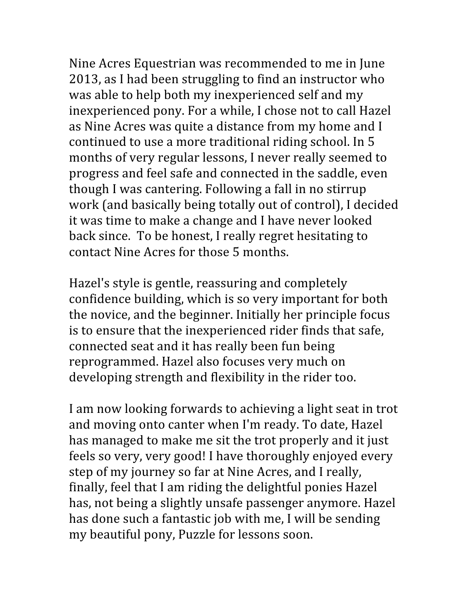Nine
Acres
Equestrian
was
recommended
to
me
in
June 2013,
as
I
had
been
struggling
to
find
an
instructor
who was
able
to
help
both
my
inexperienced
self
and
my inexperienced
pony.
For
a
while,
I
chose
not
to
call
Hazel as
Nine
Acres
was
quite
a
distance
from
my
home
and
I continued
to
use
a
more
traditional
riding
school.
In
5 months
of
very
regular
lessons,
I
never
really
seemed
to progress
and
feel
safe
and
connected
in
the
saddle,
even though
I
was
cantering.
Following
a
fall
in
no
stirrup work
(and
basically
being
totally
out
of
control),
I
decided it
was
time
to
make
a
change
and
I
have
never
looked back
since. To
be
honest,
I
really
regret
hesitating
to contact
Nine
Acres
for
those
5
months.

Hazel's
style
is
gentle,
reassuring
and
completely confidence
building,
which
is
so
very
important
for
both the
novice,
and
the
beginner.
Initially
her
principle
focus is
to
ensure
that
the
inexperienced
rider
finds
that
safe, connected
seat
and
it
has
really
been
fun
being reprogrammed.
Hazel
also
focuses
very
much
on developing
strength
and
flexibility
in
the
rider
too.

I am now looking forwards to achieving a light seat in trot and
moving
onto
canter
when
I'm
ready.
To
date,
Hazel has managed to make me sit the trot properly and it just feels
so
very,
very
good!
I
have
thoroughly
enjoyed
every step
of
my
journey
so
far
at
Nine
Acres,
and
I
really, finally,
feel
that
I
am
riding
the
delightful
ponies
Hazel has,
not
being
a
slightly
unsafe
passenger
anymore.
Hazel has
done
such
a
fantastic
job
with
me,
I
will
be
sending my
beautiful
pony,
Puzzle
for
lessons
soon.